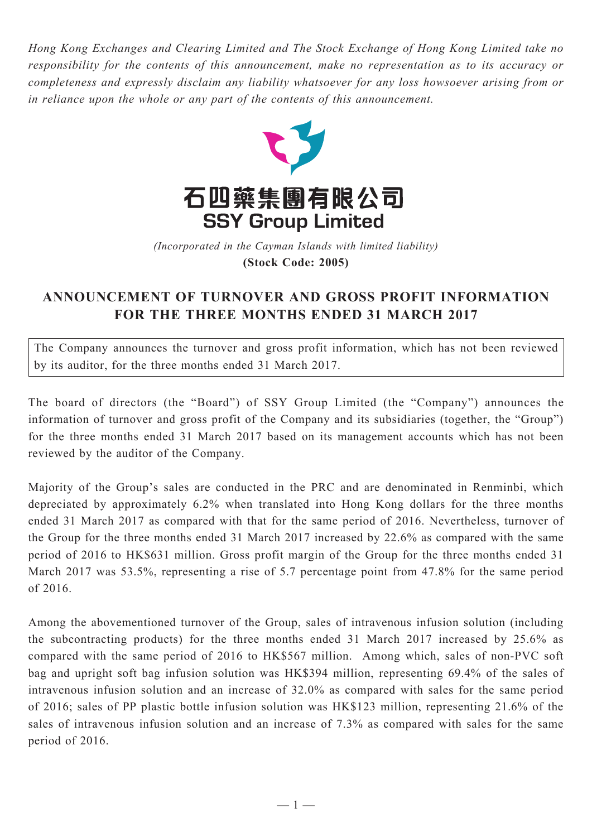*Hong Kong Exchanges and Clearing Limited and The Stock Exchange of Hong Kong Limited take no responsibility for the contents of this announcement, make no representation as to its accuracy or completeness and expressly disclaim any liability whatsoever for any loss howsoever arising from or in reliance upon the whole or any part of the contents of this announcement.*



(Incorporated in the Cayman Islands with limited liability) **(Stock Code: 2005)** *(Incorporated in the Cayman Islands with limited liability)* **(Stock Code: 2005)**

## **ANNOUNCEMENT OF TURNOVER AND GROSS PROFIT INFORMATION FOR THE THREE MONTHS ENDED 31 MARCH 2017**

The Company announces the turnover and gross profit information, which has not been reviewed by its auditor, for the three months ended 31 March 2017.

The board of directors (the "Board") of SSY Group Limited (the "Company") announces the information of turnover and gross profit of the Company and its subsidiaries (together, the "Group") for the three months ended 31 March 2017 based on its management accounts which has not been reviewed by the auditor of the Company.

Majority of the Group's sales are conducted in the PRC and are denominated in Renminbi, which depreciated by approximately 6.2% when translated into Hong Kong dollars for the three months ended 31 March 2017 as compared with that for the same period of 2016. Nevertheless, turnover of the Group for the three months ended 31 March 2017 increased by 22.6% as compared with the same period of 2016 to HK\$631 million. Gross profit margin of the Group for the three months ended 31 March 2017 was 53.5%, representing a rise of 5.7 percentage point from 47.8% for the same period of 2016.

Among the abovementioned turnover of the Group, sales of intravenous infusion solution (including the subcontracting products) for the three months ended 31 March 2017 increased by 25.6% as compared with the same period of 2016 to HK\$567 million. Among which, sales of non-PVC soft bag and upright soft bag infusion solution was HK\$394 million, representing 69.4% of the sales of intravenous infusion solution and an increase of 32.0% as compared with sales for the same period of 2016; sales of PP plastic bottle infusion solution was HK\$123 million, representing 21.6% of the sales of intravenous infusion solution and an increase of 7.3% as compared with sales for the same period of 2016.